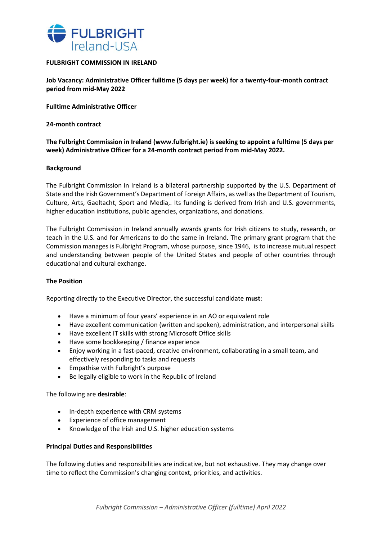

## **FULBRIGHT COMMISSION IN IRELAND**

**Job Vacancy: Administrative Officer fulltime (5 days per week) for a twenty-four-month contract period from mid-May 2022**

**Fulltime Administrative Officer**

**24-month contract**

**The Fulbright Commission in Ireland [\(www.fulbright.ie\)](http://www.fulbright.ie/) is seeking to appoint a fulltime (5 days per week) Administrative Officer for a 24-month contract period from mid-May 2022.**

### **Background**

The Fulbright Commission in Ireland is a bilateral partnership supported by the U.S. Department of State and the Irish Government's Department of Foreign Affairs, as well as the Department of Tourism, Culture, Arts, Gaeltacht, Sport and Media,. Its funding is derived from Irish and U.S. governments, higher education institutions, public agencies, organizations, and donations.

The Fulbright Commission in Ireland annually awards grants for Irish citizens to study, research, or teach in the U.S. and for Americans to do the same in Ireland. The primary grant program that the Commission manages is Fulbright Program, whose purpose, since 1946, is to increase mutual respect and understanding between people of the United States and people of other countries through educational and cultural exchange.

#### **The Position**

Reporting directly to the Executive Director, the successful candidate **must**:

- Have a minimum of four years' experience in an AO or equivalent role
- Have excellent communication (written and spoken), administration, and interpersonal skills
- Have excellent IT skills with strong Microsoft Office skills
- Have some bookkeeping / finance experience
- Enjoy working in a fast-paced, creative environment, collaborating in a small team, and effectively responding to tasks and requests
- Empathise with Fulbright's purpose
- Be legally eligible to work in the Republic of Ireland

The following are **desirable**:

- In-depth experience with CRM systems
- Experience of office management
- Knowledge of the Irish and U.S. higher education systems

## **Principal Duties and Responsibilities**

The following duties and responsibilities are indicative, but not exhaustive. They may change over time to reflect the Commission's changing context, priorities, and activities.